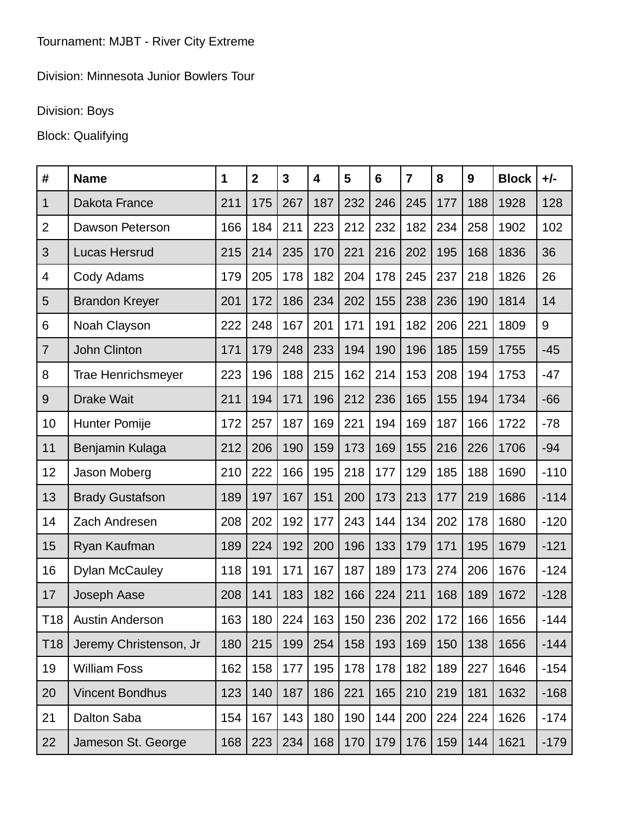## Division: Minnesota Junior Bowlers Tour

## Division: Boys

## Block: Qualifying

| #               | <b>Name</b>               | 1   | $\mathbf{2}$ | $\mathbf{3}$ | 4   | 5   | $6\phantom{1}$ | $\overline{7}$ | 8   | 9   | <b>Block</b> | $+/-$  |
|-----------------|---------------------------|-----|--------------|--------------|-----|-----|----------------|----------------|-----|-----|--------------|--------|
| 1               | Dakota France             | 211 | 175          | 267          | 187 | 232 | 246            | 245            | 177 | 188 | 1928         | 128    |
| $\overline{2}$  | Dawson Peterson           | 166 | 184          | 211          | 223 | 212 | 232            | 182            | 234 | 258 | 1902         | 102    |
| 3               | <b>Lucas Hersrud</b>      | 215 | 214          | 235          | 170 | 221 | 216            | 202            | 195 | 168 | 1836         | 36     |
| $\overline{4}$  | Cody Adams                | 179 | 205          | 178          | 182 | 204 | 178            | 245            | 237 | 218 | 1826         | 26     |
| 5               | <b>Brandon Kreyer</b>     | 201 | 172          | 186          | 234 | 202 | 155            | 238            | 236 | 190 | 1814         | 14     |
| 6               | Noah Clayson              | 222 | 248          | 167          | 201 | 171 | 191            | 182            | 206 | 221 | 1809         | 9      |
| $\overline{7}$  | <b>John Clinton</b>       | 171 | 179          | 248          | 233 | 194 | 190            | 196            | 185 | 159 | 1755         | $-45$  |
| 8               | <b>Trae Henrichsmeyer</b> | 223 | 196          | 188          | 215 | 162 | 214            | 153            | 208 | 194 | 1753         | $-47$  |
| 9               | <b>Drake Wait</b>         | 211 | 194          | 171          | 196 | 212 | 236            | 165            | 155 | 194 | 1734         | $-66$  |
| 10              | <b>Hunter Pomije</b>      | 172 | 257          | 187          | 169 | 221 | 194            | 169            | 187 | 166 | 1722         | $-78$  |
| 11              | Benjamin Kulaga           | 212 | 206          | 190          | 159 | 173 | 169            | 155            | 216 | 226 | 1706         | $-94$  |
| 12              | Jason Moberg              | 210 | 222          | 166          | 195 | 218 | 177            | 129            | 185 | 188 | 1690         | $-110$ |
| 13              | <b>Brady Gustafson</b>    | 189 | 197          | 167          | 151 | 200 | 173            | 213            | 177 | 219 | 1686         | $-114$ |
| 14              | Zach Andresen             | 208 | 202          | 192          | 177 | 243 | 144            | 134            | 202 | 178 | 1680         | $-120$ |
| 15              | Ryan Kaufman              | 189 | 224          | 192          | 200 | 196 | 133            | 179            | 171 | 195 | 1679         | $-121$ |
| 16              | <b>Dylan McCauley</b>     | 118 | 191          | 171          | 167 | 187 | 189            | 173            | 274 | 206 | 1676         | $-124$ |
| 17              | Joseph Aase               | 208 | 141          | 183          | 182 | 166 | 224            | 211            | 168 | 189 | 1672         | $-128$ |
| T <sub>18</sub> | <b>Austin Anderson</b>    | 163 | 180          | 224          | 163 | 150 | 236            | 202            | 172 | 166 | 1656         | $-144$ |
| T <sub>18</sub> | Jeremy Christenson, Jr    | 180 | 215          | 199          | 254 | 158 | 193            | 169            | 150 | 138 | 1656         | $-144$ |
| 19              | <b>William Foss</b>       | 162 | 158          | 177          | 195 | 178 | 178            | 182            | 189 | 227 | 1646         | $-154$ |
| 20              | <b>Vincent Bondhus</b>    | 123 | 140          | 187          | 186 | 221 | 165            | 210            | 219 | 181 | 1632         | $-168$ |
| 21              | <b>Dalton Saba</b>        | 154 | 167          | 143          | 180 | 190 | 144            | 200            | 224 | 224 | 1626         | $-174$ |
| 22              | Jameson St. George        | 168 | 223          | 234          | 168 | 170 | 179            | 176            | 159 | 144 | 1621         | $-179$ |